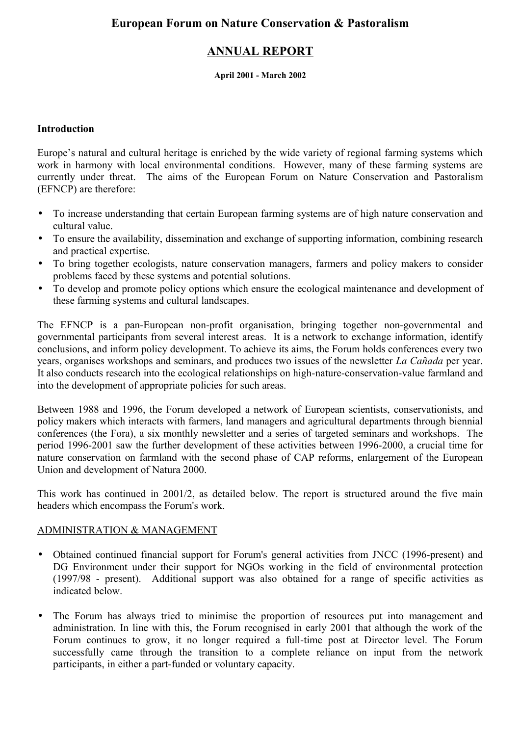# **ANNUAL REPORT**

#### **April 2001 - March 2002**

#### **Introduction**

Europe's natural and cultural heritage is enriched by the wide variety of regional farming systems which work in harmony with local environmental conditions. However, many of these farming systems are currently under threat. The aims of the European Forum on Nature Conservation and Pastoralism (EFNCP) are therefore:

- To increase understanding that certain European farming systems are of high nature conservation and cultural value.
- To ensure the availability, dissemination and exchange of supporting information, combining research and practical expertise.
- To bring together ecologists, nature conservation managers, farmers and policy makers to consider problems faced by these systems and potential solutions.
- To develop and promote policy options which ensure the ecological maintenance and development of these farming systems and cultural landscapes.

The EFNCP is a pan-European non-profit organisation, bringing together non-governmental and governmental participants from several interest areas. It is a network to exchange information, identify conclusions, and inform policy development. To achieve its aims, the Forum holds conferences every two years, organises workshops and seminars, and produces two issues of the newsletter *La Cañada* per year. It also conducts research into the ecological relationships on high-nature-conservation-value farmland and into the development of appropriate policies for such areas.

Between 1988 and 1996, the Forum developed a network of European scientists, conservationists, and policy makers which interacts with farmers, land managers and agricultural departments through biennial conferences (the Fora), a six monthly newsletter and a series of targeted seminars and workshops. The period 1996-2001 saw the further development of these activities between 1996-2000, a crucial time for nature conservation on farmland with the second phase of CAP reforms, enlargement of the European Union and development of Natura 2000.

This work has continued in 2001/2, as detailed below. The report is structured around the five main headers which encompass the Forum's work.

### ADMINISTRATION & MANAGEMENT

- Obtained continued financial support for Forum's general activities from JNCC (1996-present) and DG Environment under their support for NGOs working in the field of environmental protection (1997/98 - present). Additional support was also obtained for a range of specific activities as indicated below.
- The Forum has always tried to minimise the proportion of resources put into management and administration. In line with this, the Forum recognised in early 2001 that although the work of the Forum continues to grow, it no longer required a full-time post at Director level. The Forum successfully came through the transition to a complete reliance on input from the network participants, in either a part-funded or voluntary capacity.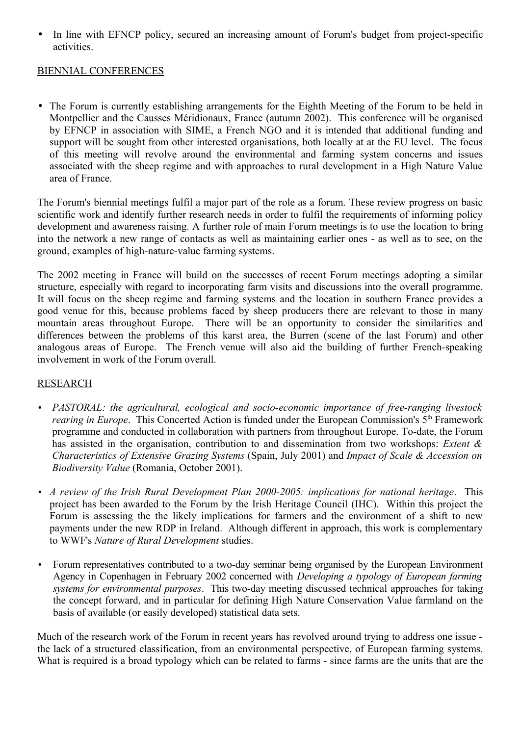• In line with EFNCP policy, secured an increasing amount of Forum's budget from project-specific activities.

## BIENNIAL CONFERENCES

• The Forum is currently establishing arrangements for the Eighth Meeting of the Forum to be held in Montpellier and the Causses Méridionaux, France (autumn 2002). This conference will be organised by EFNCP in association with SIME, a French NGO and it is intended that additional funding and support will be sought from other interested organisations, both locally at at the EU level. The focus of this meeting will revolve around the environmental and farming system concerns and issues associated with the sheep regime and with approaches to rural development in a High Nature Value area of France.

The Forum's biennial meetings fulfil a major part of the role as a forum. These review progress on basic scientific work and identify further research needs in order to fulfil the requirements of informing policy development and awareness raising. A further role of main Forum meetings is to use the location to bring into the network a new range of contacts as well as maintaining earlier ones - as well as to see, on the ground, examples of high-nature-value farming systems.

The 2002 meeting in France will build on the successes of recent Forum meetings adopting a similar structure, especially with regard to incorporating farm visits and discussions into the overall programme. It will focus on the sheep regime and farming systems and the location in southern France provides a good venue for this, because problems faced by sheep producers there are relevant to those in many mountain areas throughout Europe. There will be an opportunity to consider the similarities and differences between the problems of this karst area, the Burren (scene of the last Forum) and other analogous areas of Europe. The French venue will also aid the building of further French-speaking involvement in work of the Forum overall.

### RESEARCH

- *PASTORAL: the agricultural, ecological and socio-economic importance of free-ranging livestock rearing in Europe*. This Concerted Action is funded under the European Commission's 5<sup>th</sup> Framework programme and conducted in collaboration with partners from throughout Europe. To-date, the Forum has assisted in the organisation, contribution to and dissemination from two workshops: *Extent & Characteristics of Extensive Grazing Systems* (Spain, July 2001) and *Impact of Scale & Accession on Biodiversity Value* (Romania, October 2001).
- *A review of the Irish Rural Development Plan 2000-2005: implications for national heritage*. This project has been awarded to the Forum by the Irish Heritage Council (IHC). Within this project the Forum is assessing the the likely implications for farmers and the environment of a shift to new payments under the new RDP in Ireland. Although different in approach, this work is complementary to WWF's *Nature of Rural Development* studies.
- Forum representatives contributed to a two-day seminar being organised by the European Environment Agency in Copenhagen in February 2002 concerned with *Developing a typology of European farming systems for environmental purposes*. This two-day meeting discussed technical approaches for taking the concept forward, and in particular for defining High Nature Conservation Value farmland on the basis of available (or easily developed) statistical data sets.

Much of the research work of the Forum in recent years has revolved around trying to address one issue the lack of a structured classification, from an environmental perspective, of European farming systems. What is required is a broad typology which can be related to farms - since farms are the units that are the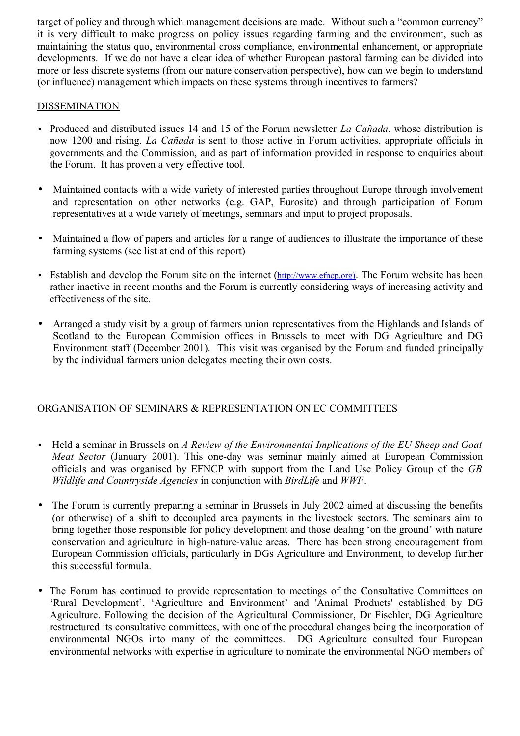target of policy and through which management decisions are made. Without such a "common currency" it is very difficult to make progress on policy issues regarding farming and the environment, such as maintaining the status quo, environmental cross compliance, environmental enhancement, or appropriate developments. If we do not have a clear idea of whether European pastoral farming can be divided into more or less discrete systems (from our nature conservation perspective), how can we begin to understand (or influence) management which impacts on these systems through incentives to farmers?

## **DISSEMINATION**

- Produced and distributed issues 14 and 15 of the Forum newsletter *La Cañada*, whose distribution is now 1200 and rising. *La Cañada* is sent to those active in Forum activities, appropriate officials in governments and the Commission, and as part of information provided in response to enquiries about the Forum. It has proven a very effective tool.
- Maintained contacts with a wide variety of interested parties throughout Europe through involvement and representation on other networks (e.g. GAP, Eurosite) and through participation of Forum representatives at a wide variety of meetings, seminars and input to project proposals.
- Maintained a flow of papers and articles for a range of audiences to illustrate the importance of these farming systems (see list at end of this report)
- Establish and develop the Forum site on the internet (http://www.efncp.org). The Forum website has been rather inactive in recent months and the Forum is currently considering ways of increasing activity and effectiveness of the site.
- Arranged a study visit by a group of farmers union representatives from the Highlands and Islands of Scotland to the European Commision offices in Brussels to meet with DG Agriculture and DG Environment staff (December 2001). This visit was organised by the Forum and funded principally by the individual farmers union delegates meeting their own costs.

# ORGANISATION OF SEMINARS & REPRESENTATION ON EC COMMITTEES

- Held a seminar in Brussels on *A Review of the Environmental Implications of the EU Sheep and Goat Meat Sector* (January 2001). This one-day was seminar mainly aimed at European Commission officials and was organised by EFNCP with support from the Land Use Policy Group of the *GB Wildlife and Countryside Agencies* in conjunction with *BirdLife* and *WWF*.
- The Forum is currently preparing a seminar in Brussels in July 2002 aimed at discussing the benefits (or otherwise) of a shift to decoupled area payments in the livestock sectors. The seminars aim to bring together those responsible for policy development and those dealing 'on the ground' with nature conservation and agriculture in high-nature-value areas. There has been strong encouragement from European Commission officials, particularly in DGs Agriculture and Environment, to develop further this successful formula.
- The Forum has continued to provide representation to meetings of the Consultative Committees on 'Rural Development', 'Agriculture and Environment' and 'Animal Products' established by DG Agriculture. Following the decision of the Agricultural Commissioner, Dr Fischler, DG Agriculture restructured its consultative committees, with one of the procedural changes being the incorporation of environmental NGOs into many of the committees. DG Agriculture consulted four European environmental networks with expertise in agriculture to nominate the environmental NGO members of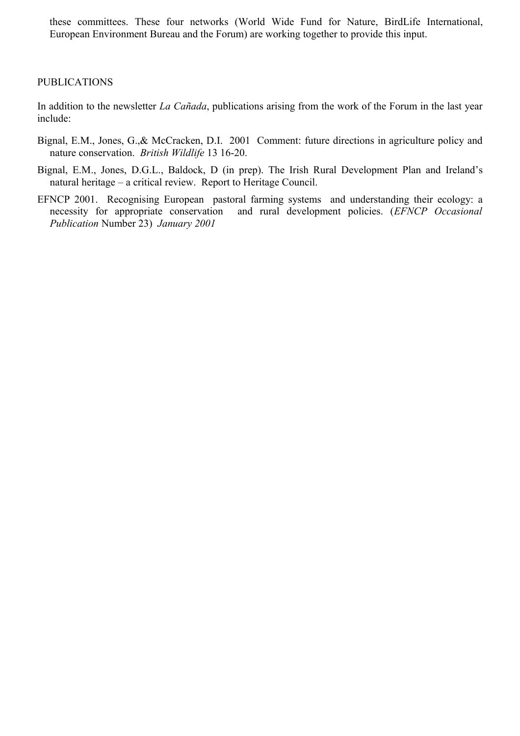these committees. These four networks (World Wide Fund for Nature, BirdLife International, European Environment Bureau and the Forum) are working together to provide this input.

#### PUBLICATIONS

In addition to the newsletter *La Cañada*, publications arising from the work of the Forum in the last year include:

- Bignal, E.M., Jones, G.,& McCracken, D.I. 2001 Comment: future directions in agriculture policy and nature conservation. *British Wildlife* 13 16-20.
- Bignal, E.M., Jones, D.G.L., Baldock, D (in prep). The Irish Rural Development Plan and Ireland's natural heritage – a critical review. Report to Heritage Council.
- EFNCP 2001.Recognising European pastoral farming systems and understanding their ecology: a necessity for appropriate conservation and rural development policies. (*EFNCP Occasional Publication* Number 23) *January 2001*